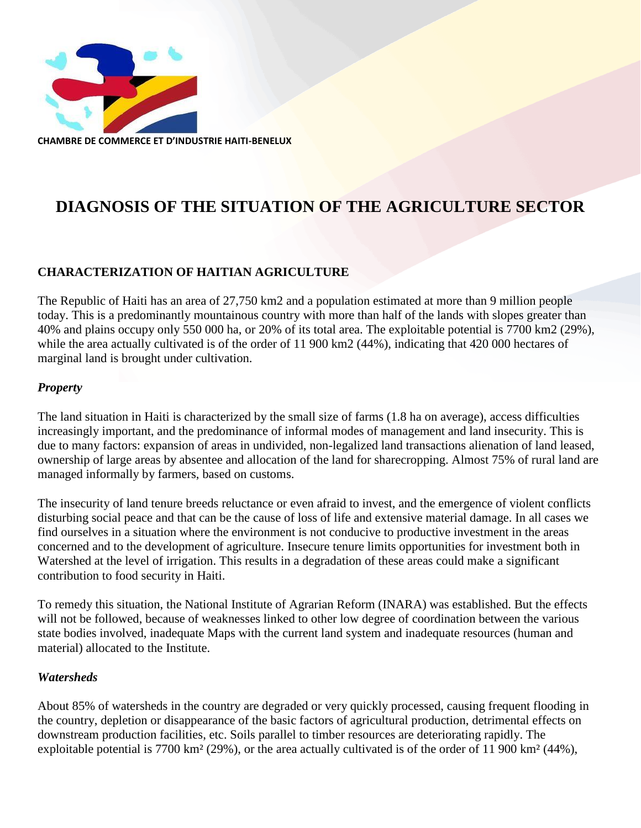

# **DIAGNOSIS OF THE SITUATION OF THE AGRICULTURE SECTOR**

### **CHARACTERIZATION OF HAITIAN AGRICULTURE**

The Republic of Haiti has an area of 27,750 km2 and a population estimated at more than 9 million people today. This is a predominantly mountainous country with more than half of the lands with slopes greater than 40% and plains occupy only 550 000 ha, or 20% of its total area. The exploitable potential is 7700 km2 (29%), while the area actually cultivated is of the order of 11 900 km2 (44%), indicating that 420 000 hectares of marginal land is brought under cultivation.

#### *Property*

The land situation in Haiti is characterized by the small size of farms (1.8 ha on average), access difficulties increasingly important, and the predominance of informal modes of management and land insecurity. This is due to many factors: expansion of areas in undivided, non-legalized land transactions alienation of land leased, ownership of large areas by absentee and allocation of the land for sharecropping. Almost 75% of rural land are managed informally by farmers, based on customs.

The insecurity of land tenure breeds reluctance or even afraid to invest, and the emergence of violent conflicts disturbing social peace and that can be the cause of loss of life and extensive material damage. In all cases we find ourselves in a situation where the environment is not conducive to productive investment in the areas concerned and to the development of agriculture. Insecure tenure limits opportunities for investment both in Watershed at the level of irrigation. This results in a degradation of these areas could make a significant contribution to food security in Haiti.

To remedy this situation, the National Institute of Agrarian Reform (INARA) was established. But the effects will not be followed, because of weaknesses linked to other low degree of coordination between the various state bodies involved, inadequate Maps with the current land system and inadequate resources (human and material) allocated to the Institute.

#### *Watersheds*

About 85% of watersheds in the country are degraded or very quickly processed, causing frequent flooding in the country, depletion or disappearance of the basic factors of agricultural production, detrimental effects on downstream production facilities, etc. Soils parallel to timber resources are deteriorating rapidly. The exploitable potential is 7700 km² (29%), or the area actually cultivated is of the order of 11 900 km² (44%),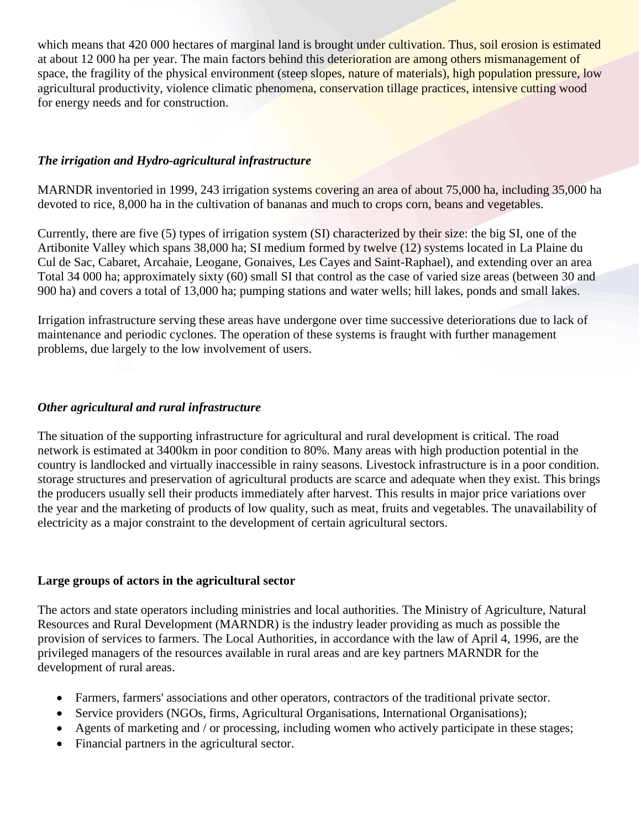which means that 420 000 hectares of marginal land is brought under cultivation. Thus, soil erosion is estimated at about 12 000 ha per year. The main factors behind this deterioration are among others mismanagement of space, the fragility of the physical environment (steep slopes, nature of materials), high population pressure, low agricultural productivity, violence climatic phenomena, conservation tillage practices, intensive cutting wood for energy needs and for construction.

### *The irrigation and Hydro-agricultural infrastructure*

MARNDR inventoried in 1999, 243 irrigation systems covering an area of about 75,000 ha, including 35,000 ha devoted to rice, 8,000 ha in the cultivation of bananas and much to crops corn, beans and vegetables.

Currently, there are five (5) types of irrigation system (SI) characterized by their size: the big SI, one of the Artibonite Valley which spans 38,000 ha; SI medium formed by twelve (12) systems located in La Plaine du Cul de Sac, Cabaret, Arcahaie, Leogane, Gonaives, Les Cayes and Saint-Raphael), and extending over an area Total 34 000 ha; approximately sixty (60) small SI that control as the case of varied size areas (between 30 and 900 ha) and covers a total of 13,000 ha; pumping stations and water wells; hill lakes, ponds and small lakes.

Irrigation infrastructure serving these areas have undergone over time successive deteriorations due to lack of maintenance and periodic cyclones. The operation of these systems is fraught with further management problems, due largely to the low involvement of users.

#### *Other agricultural and rural infrastructure*

The situation of the supporting infrastructure for agricultural and rural development is critical. The road network is estimated at 3400km in poor condition to 80%. Many areas with high production potential in the country is landlocked and virtually inaccessible in rainy seasons. Livestock infrastructure is in a poor condition. storage structures and preservation of agricultural products are scarce and adequate when they exist. This brings the producers usually sell their products immediately after harvest. This results in major price variations over the year and the marketing of products of low quality, such as meat, fruits and vegetables. The unavailability of electricity as a major constraint to the development of certain agricultural sectors.

#### **Large groups of actors in the agricultural sector**

The actors and state operators including ministries and local authorities. The Ministry of Agriculture, Natural Resources and Rural Development (MARNDR) is the industry leader providing as much as possible the provision of services to farmers. The Local Authorities, in accordance with the law of April 4, 1996, are the privileged managers of the resources available in rural areas and are key partners MARNDR for the development of rural areas.

- Farmers, farmers' associations and other operators, contractors of the traditional private sector.
- Service providers (NGOs, firms, Agricultural Organisations, International Organisations);
- Agents of marketing and / or processing, including women who actively participate in these stages;
- Financial partners in the agricultural sector.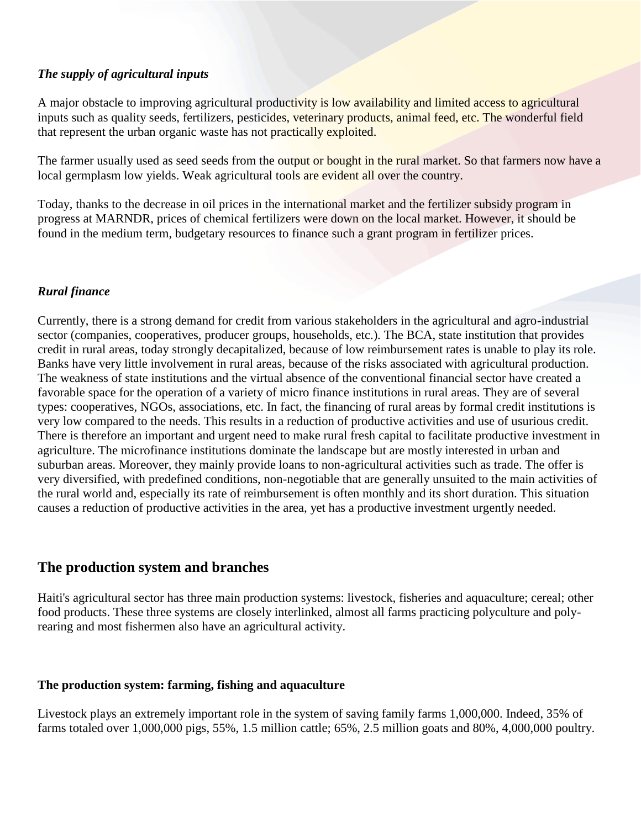#### *The supply of agricultural inputs*

A major obstacle to improving agricultural productivity is low availability and limited access to agricultural inputs such as quality seeds, fertilizers, pesticides, veterinary products, animal feed, etc. The wonderful field that represent the urban organic waste has not practically exploited.

The farmer usually used as seed seeds from the output or bought in the rural market. So that farmers now have a local germplasm low yields. Weak agricultural tools are evident all over the country.

Today, thanks to the decrease in oil prices in the international market and the fertilizer subsidy program in progress at MARNDR, prices of chemical fertilizers were down on the local market. However, it should be found in the medium term, budgetary resources to finance such a grant program in fertilizer prices.

### *Rural finance*

Currently, there is a strong demand for credit from various stakeholders in the agricultural and agro-industrial sector (companies, cooperatives, producer groups, households, etc.). The BCA, state institution that provides credit in rural areas, today strongly decapitalized, because of low reimbursement rates is unable to play its role. Banks have very little involvement in rural areas, because of the risks associated with agricultural production. The weakness of state institutions and the virtual absence of the conventional financial sector have created a favorable space for the operation of a variety of micro finance institutions in rural areas. They are of several types: cooperatives, NGOs, associations, etc. In fact, the financing of rural areas by formal credit institutions is very low compared to the needs. This results in a reduction of productive activities and use of usurious credit. There is therefore an important and urgent need to make rural fresh capital to facilitate productive investment in agriculture. The microfinance institutions dominate the landscape but are mostly interested in urban and suburban areas. Moreover, they mainly provide loans to non-agricultural activities such as trade. The offer is very diversified, with predefined conditions, non-negotiable that are generally unsuited to the main activities of the rural world and, especially its rate of reimbursement is often monthly and its short duration. This situation causes a reduction of productive activities in the area, yet has a productive investment urgently needed.

# **The production system and branches**

Haiti's agricultural sector has three main production systems: livestock, fisheries and aquaculture; cereal; other food products. These three systems are closely interlinked, almost all farms practicing polyculture and polyrearing and most fishermen also have an agricultural activity.

### **The production system: farming, fishing and aquaculture**

Livestock plays an extremely important role in the system of saving family farms 1,000,000. Indeed, 35% of farms totaled over 1,000,000 pigs, 55%, 1.5 million cattle; 65%, 2.5 million goats and 80%, 4,000,000 poultry.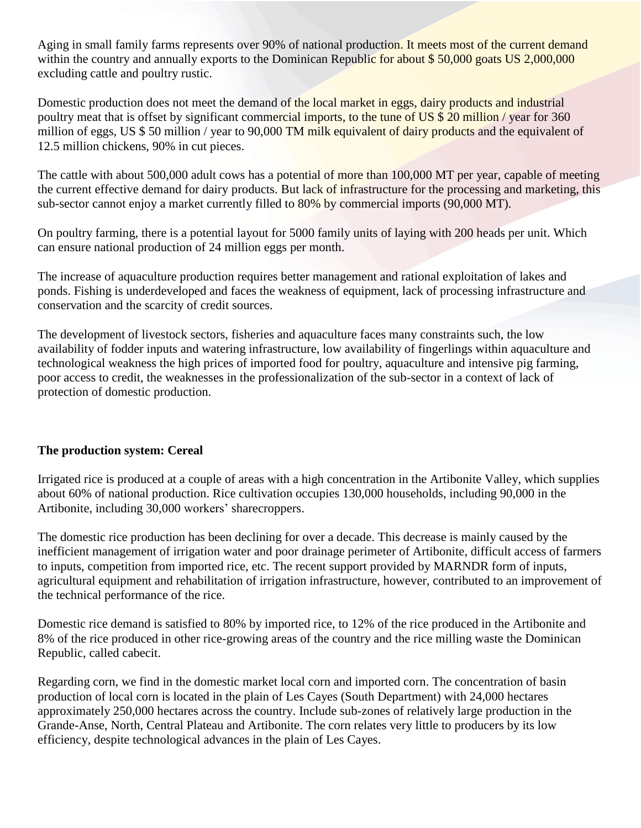Aging in small family farms represents over 90% of national production. It meets most of the current demand within the country and annually exports to the Dominican Republic for about \$50,000 goats US 2,000,000 excluding cattle and poultry rustic.

Domestic production does not meet the demand of the local market in eggs, dairy products and industrial poultry meat that is offset by significant commercial imports, to the tune of US \$ 20 million / year for 360 million of eggs, US \$ 50 million / year to 90,000 TM milk equivalent of dairy products and the equivalent of 12.5 million chickens, 90% in cut pieces.

The cattle with about 500,000 adult cows has a potential of more than 100,000 MT per year, capable of meeting the current effective demand for dairy products. But lack of infrastructure for the processing and marketing, this sub-sector cannot enjoy a market currently filled to 80% by commercial imports (90,000 MT).

On poultry farming, there is a potential layout for 5000 family units of laying with 200 heads per unit. Which can ensure national production of 24 million eggs per month.

The increase of aquaculture production requires better management and rational exploitation of lakes and ponds. Fishing is underdeveloped and faces the weakness of equipment, lack of processing infrastructure and conservation and the scarcity of credit sources.

The development of livestock sectors, fisheries and aquaculture faces many constraints such, the low availability of fodder inputs and watering infrastructure, low availability of fingerlings within aquaculture and technological weakness the high prices of imported food for poultry, aquaculture and intensive pig farming, poor access to credit, the weaknesses in the professionalization of the sub-sector in a context of lack of protection of domestic production.

### **The production system: Cereal**

Irrigated rice is produced at a couple of areas with a high concentration in the Artibonite Valley, which supplies about 60% of national production. Rice cultivation occupies 130,000 households, including 90,000 in the Artibonite, including 30,000 workers' sharecroppers.

The domestic rice production has been declining for over a decade. This decrease is mainly caused by the inefficient management of irrigation water and poor drainage perimeter of Artibonite, difficult access of farmers to inputs, competition from imported rice, etc. The recent support provided by MARNDR form of inputs, agricultural equipment and rehabilitation of irrigation infrastructure, however, contributed to an improvement of the technical performance of the rice.

Domestic rice demand is satisfied to 80% by imported rice, to 12% of the rice produced in the Artibonite and 8% of the rice produced in other rice-growing areas of the country and the rice milling waste the Dominican Republic, called cabecit.

Regarding corn, we find in the domestic market local corn and imported corn. The concentration of basin production of local corn is located in the plain of Les Cayes (South Department) with 24,000 hectares approximately 250,000 hectares across the country. Include sub-zones of relatively large production in the Grande-Anse, North, Central Plateau and Artibonite. The corn relates very little to producers by its low efficiency, despite technological advances in the plain of Les Cayes.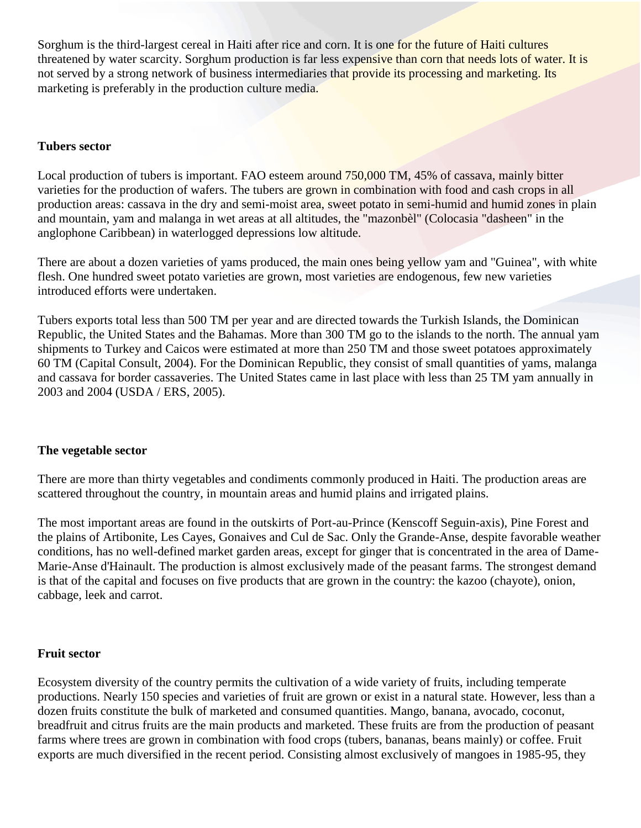Sorghum is the third-largest cereal in Haiti after rice and corn. It is one for the future of Haiti cultures threatened by water scarcity. Sorghum production is far less expensive than corn that needs lots of water. It is not served by a strong network of business intermediaries that provide its processing and marketing. Its marketing is preferably in the production culture media.

#### **Tubers sector**

Local production of tubers is important. FAO esteem around 750,000 TM, 45% of cassava, mainly bitter varieties for the production of wafers. The tubers are grown in combination with food and cash crops in all production areas: cassava in the dry and semi-moist area, sweet potato in semi-humid and humid zones in plain and mountain, yam and malanga in wet areas at all altitudes, the "mazonbèl" (Colocasia "dasheen" in the anglophone Caribbean) in waterlogged depressions low altitude.

There are about a dozen varieties of yams produced, the main ones being yellow yam and "Guinea", with white flesh. One hundred sweet potato varieties are grown, most varieties are endogenous, few new varieties introduced efforts were undertaken.

Tubers exports total less than 500 TM per year and are directed towards the Turkish Islands, the Dominican Republic, the United States and the Bahamas. More than 300 TM go to the islands to the north. The annual yam shipments to Turkey and Caicos were estimated at more than 250 TM and those sweet potatoes approximately 60 TM (Capital Consult, 2004). For the Dominican Republic, they consist of small quantities of yams, malanga and cassava for border cassaveries. The United States came in last place with less than 25 TM yam annually in 2003 and 2004 (USDA / ERS, 2005).

#### **The vegetable sector**

There are more than thirty vegetables and condiments commonly produced in Haiti. The production areas are scattered throughout the country, in mountain areas and humid plains and irrigated plains.

The most important areas are found in the outskirts of Port-au-Prince (Kenscoff Seguin-axis), Pine Forest and the plains of Artibonite, Les Cayes, Gonaives and Cul de Sac. Only the Grande-Anse, despite favorable weather conditions, has no well-defined market garden areas, except for ginger that is concentrated in the area of Dame-Marie-Anse d'Hainault. The production is almost exclusively made of the peasant farms. The strongest demand is that of the capital and focuses on five products that are grown in the country: the kazoo (chayote), onion, cabbage, leek and carrot.

#### **Fruit sector**

Ecosystem diversity of the country permits the cultivation of a wide variety of fruits, including temperate productions. Nearly 150 species and varieties of fruit are grown or exist in a natural state. However, less than a dozen fruits constitute the bulk of marketed and consumed quantities. Mango, banana, avocado, coconut, breadfruit and citrus fruits are the main products and marketed. These fruits are from the production of peasant farms where trees are grown in combination with food crops (tubers, bananas, beans mainly) or coffee. Fruit exports are much diversified in the recent period. Consisting almost exclusively of mangoes in 1985-95, they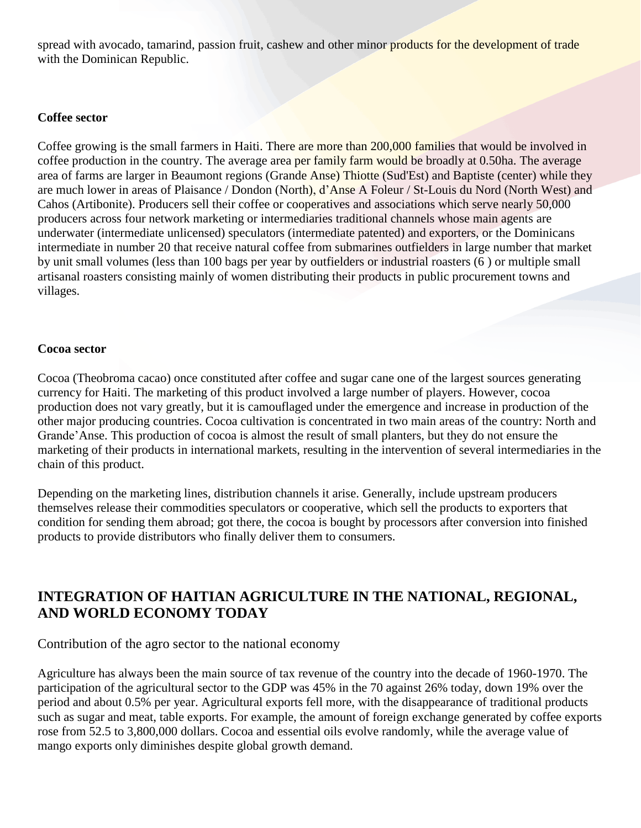spread with avocado, tamarind, passion fruit, cashew and other minor products for the development of trade with the Dominican Republic.

#### **Coffee sector**

Coffee growing is the small farmers in Haiti. There are more than 200,000 families that would be involved in coffee production in the country. The average area per family farm would be broadly at 0.50ha. The average area of farms are larger in Beaumont regions (Grande Anse) Thiotte (Sud'Est) and Baptiste (center) while they are much lower in areas of Plaisance / Dondon (North), d'Anse A Foleur / St-Louis du Nord (North West) and Cahos (Artibonite). Producers sell their coffee or cooperatives and associations which serve nearly 50,000 producers across four network marketing or intermediaries traditional channels whose main agents are underwater (intermediate unlicensed) speculators (intermediate patented) and exporters, or the Dominicans intermediate in number 20 that receive natural coffee from submarines outfielders in large number that market by unit small volumes (less than 100 bags per year by outfielders or industrial roasters (6 ) or multiple small artisanal roasters consisting mainly of women distributing their products in public procurement towns and villages.

#### **Cocoa sector**

Cocoa (Theobroma cacao) once constituted after coffee and sugar cane one of the largest sources generating currency for Haiti. The marketing of this product involved a large number of players. However, cocoa production does not vary greatly, but it is camouflaged under the emergence and increase in production of the other major producing countries. Cocoa cultivation is concentrated in two main areas of the country: North and Grande'Anse. This production of cocoa is almost the result of small planters, but they do not ensure the marketing of their products in international markets, resulting in the intervention of several intermediaries in the chain of this product.

Depending on the marketing lines, distribution channels it arise. Generally, include upstream producers themselves release their commodities speculators or cooperative, which sell the products to exporters that condition for sending them abroad; got there, the cocoa is bought by processors after conversion into finished products to provide distributors who finally deliver them to consumers.

# **INTEGRATION OF HAITIAN AGRICULTURE IN THE NATIONAL, REGIONAL, AND WORLD ECONOMY TODAY**

### Contribution of the agro sector to the national economy

Agriculture has always been the main source of tax revenue of the country into the decade of 1960-1970. The participation of the agricultural sector to the GDP was 45% in the 70 against 26% today, down 19% over the period and about 0.5% per year. Agricultural exports fell more, with the disappearance of traditional products such as sugar and meat, table exports. For example, the amount of foreign exchange generated by coffee exports rose from 52.5 to 3,800,000 dollars. Cocoa and essential oils evolve randomly, while the average value of mango exports only diminishes despite global growth demand.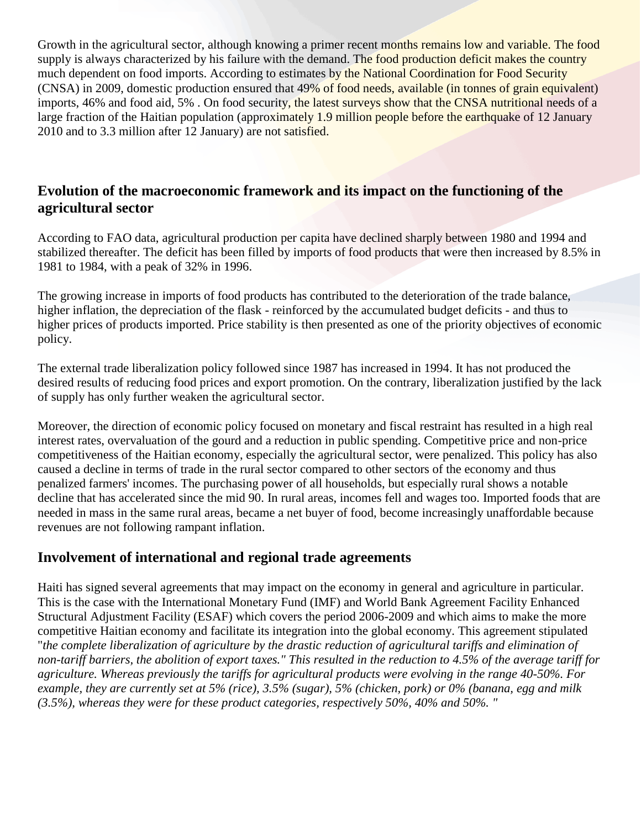Growth in the agricultural sector, although knowing a primer recent months remains low and variable. The food supply is always characterized by his failure with the demand. The food production deficit makes the country much dependent on food imports. According to estimates by the National Coordination for Food Security (CNSA) in 2009, domestic production ensured that 49% of food needs, available (in tonnes of grain equivalent) imports, 46% and food aid, 5% . On food security, the latest surveys show that the CNSA nutritional needs of a large fraction of the Haitian population (approximately 1.9 million people before the earthquake of 12 January 2010 and to 3.3 million after 12 January) are not satisfied.

# **Evolution of the macroeconomic framework and its impact on the functioning of the agricultural sector**

According to FAO data, agricultural production per capita have declined sharply between 1980 and 1994 and stabilized thereafter. The deficit has been filled by imports of food products that were then increased by 8.5% in 1981 to 1984, with a peak of 32% in 1996.

The growing increase in imports of food products has contributed to the deterioration of the trade balance, higher inflation, the depreciation of the flask - reinforced by the accumulated budget deficits - and thus to higher prices of products imported. Price stability is then presented as one of the priority objectives of economic policy.

The external trade liberalization policy followed since 1987 has increased in 1994. It has not produced the desired results of reducing food prices and export promotion. On the contrary, liberalization justified by the lack of supply has only further weaken the agricultural sector.

Moreover, the direction of economic policy focused on monetary and fiscal restraint has resulted in a high real interest rates, overvaluation of the gourd and a reduction in public spending. Competitive price and non-price competitiveness of the Haitian economy, especially the agricultural sector, were penalized. This policy has also caused a decline in terms of trade in the rural sector compared to other sectors of the economy and thus penalized farmers' incomes. The purchasing power of all households, but especially rural shows a notable decline that has accelerated since the mid 90. In rural areas, incomes fell and wages too. Imported foods that are needed in mass in the same rural areas, became a net buyer of food, become increasingly unaffordable because revenues are not following rampant inflation.

# **Involvement of international and regional trade agreements**

Haiti has signed several agreements that may impact on the economy in general and agriculture in particular. This is the case with the International Monetary Fund (IMF) and World Bank Agreement Facility Enhanced Structural Adjustment Facility (ESAF) which covers the period 2006-2009 and which aims to make the more competitive Haitian economy and facilitate its integration into the global economy. This agreement stipulated "*the complete liberalization of agriculture by the drastic reduction of agricultural tariffs and elimination of non-tariff barriers, the abolition of export taxes." This resulted in the reduction to 4.5% of the average tariff for agriculture. Whereas previously the tariffs for agricultural products were evolving in the range 40-50%. For example, they are currently set at 5% (rice), 3.5% (sugar), 5% (chicken, pork) or 0% (banana, egg and milk (3.5%), whereas they were for these product categories, respectively 50%, 40% and 50%. "*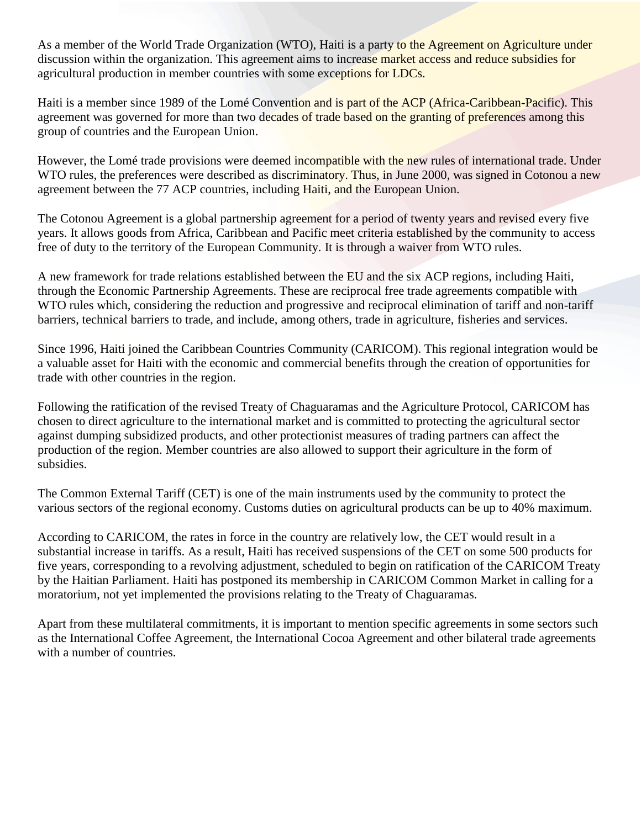As a member of the World Trade Organization (WTO), Haiti is a party to the Agreement on Agriculture under discussion within the organization. This agreement aims to increase market access and reduce subsidies for agricultural production in member countries with some exceptions for LDCs.

Haiti is a member since 1989 of the Lomé Convention and is part of the ACP (Africa-Caribbean-Pacific). This agreement was governed for more than two decades of trade based on the granting of preferences among this group of countries and the European Union.

However, the Lomé trade provisions were deemed incompatible with the new rules of international trade. Under WTO rules, the preferences were described as discriminatory. Thus, in June 2000, was signed in Cotonou a new agreement between the 77 ACP countries, including Haiti, and the European Union.

The Cotonou Agreement is a global partnership agreement for a period of twenty years and revised every five years. It allows goods from Africa, Caribbean and Pacific meet criteria established by the community to access free of duty to the territory of the European Community. It is through a waiver from WTO rules.

A new framework for trade relations established between the EU and the six ACP regions, including Haiti, through the Economic Partnership Agreements. These are reciprocal free trade agreements compatible with WTO rules which, considering the reduction and progressive and reciprocal elimination of tariff and non-tariff barriers, technical barriers to trade, and include, among others, trade in agriculture, fisheries and services.

Since 1996, Haiti joined the Caribbean Countries Community (CARICOM). This regional integration would be a valuable asset for Haiti with the economic and commercial benefits through the creation of opportunities for trade with other countries in the region.

Following the ratification of the revised Treaty of Chaguaramas and the Agriculture Protocol, CARICOM has chosen to direct agriculture to the international market and is committed to protecting the agricultural sector against dumping subsidized products, and other protectionist measures of trading partners can affect the production of the region. Member countries are also allowed to support their agriculture in the form of subsidies.

The Common External Tariff (CET) is one of the main instruments used by the community to protect the various sectors of the regional economy. Customs duties on agricultural products can be up to 40% maximum.

According to CARICOM, the rates in force in the country are relatively low, the CET would result in a substantial increase in tariffs. As a result, Haiti has received suspensions of the CET on some 500 products for five years, corresponding to a revolving adjustment, scheduled to begin on ratification of the CARICOM Treaty by the Haitian Parliament. Haiti has postponed its membership in CARICOM Common Market in calling for a moratorium, not yet implemented the provisions relating to the Treaty of Chaguaramas.

Apart from these multilateral commitments, it is important to mention specific agreements in some sectors such as the International Coffee Agreement, the International Cocoa Agreement and other bilateral trade agreements with a number of countries.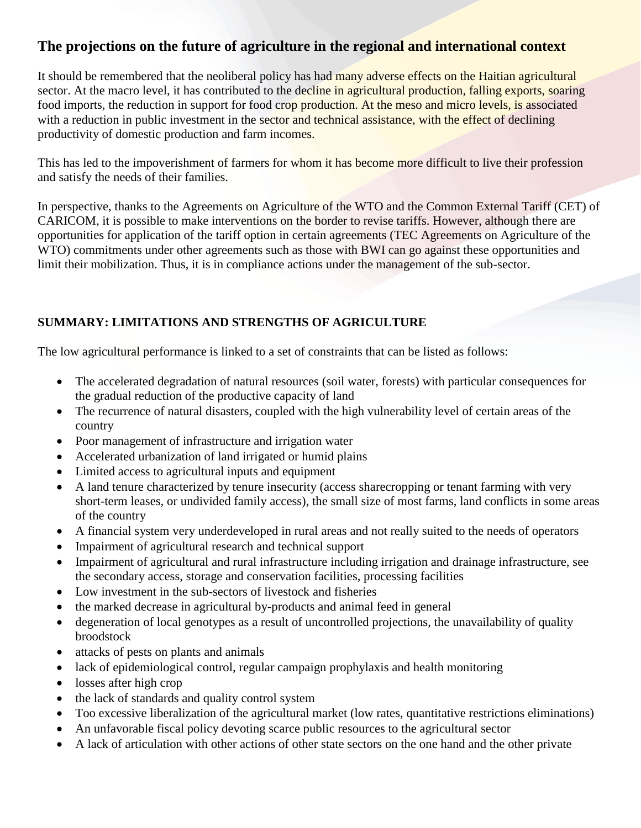# **The projections on the future of agriculture in the regional and international context**

It should be remembered that the neoliberal policy has had many adverse effects on the Haitian agricultural sector. At the macro level, it has contributed to the decline in agricultural production, falling exports, soaring food imports, the reduction in support for food crop production. At the meso and micro levels, is associated with a reduction in public investment in the sector and technical assistance, with the effect of declining productivity of domestic production and farm incomes.

This has led to the impoverishment of farmers for whom it has become more difficult to live their profession and satisfy the needs of their families.

In perspective, thanks to the Agreements on Agriculture of the WTO and the Common External Tariff (CET) of CARICOM, it is possible to make interventions on the border to revise tariffs. However, although there are opportunities for application of the tariff option in certain agreements (TEC Agreements on Agriculture of the WTO) commitments under other agreements such as those with BWI can go against these opportunities and limit their mobilization. Thus, it is in compliance actions under the management of the sub-sector.

# **SUMMARY: LIMITATIONS AND STRENGTHS OF AGRICULTURE**

The low agricultural performance is linked to a set of constraints that can be listed as follows:

- The accelerated degradation of natural resources (soil water, forests) with particular consequences for the gradual reduction of the productive capacity of land
- The recurrence of natural disasters, coupled with the high vulnerability level of certain areas of the country
- Poor management of infrastructure and irrigation water
- Accelerated urbanization of land irrigated or humid plains
- Limited access to agricultural inputs and equipment
- A land tenure characterized by tenure insecurity (access sharecropping or tenant farming with very short-term leases, or undivided family access), the small size of most farms, land conflicts in some areas of the country
- A financial system very underdeveloped in rural areas and not really suited to the needs of operators
- Impairment of agricultural research and technical support
- Impairment of agricultural and rural infrastructure including irrigation and drainage infrastructure, see the secondary access, storage and conservation facilities, processing facilities
- Low investment in the sub-sectors of livestock and fisheries
- the marked decrease in agricultural by-products and animal feed in general
- degeneration of local genotypes as a result of uncontrolled projections, the unavailability of quality broodstock
- attacks of pests on plants and animals
- lack of epidemiological control, regular campaign prophylaxis and health monitoring
- losses after high crop
- the lack of standards and quality control system
- Too excessive liberalization of the agricultural market (low rates, quantitative restrictions eliminations)
- An unfavorable fiscal policy devoting scarce public resources to the agricultural sector
- A lack of articulation with other actions of other state sectors on the one hand and the other private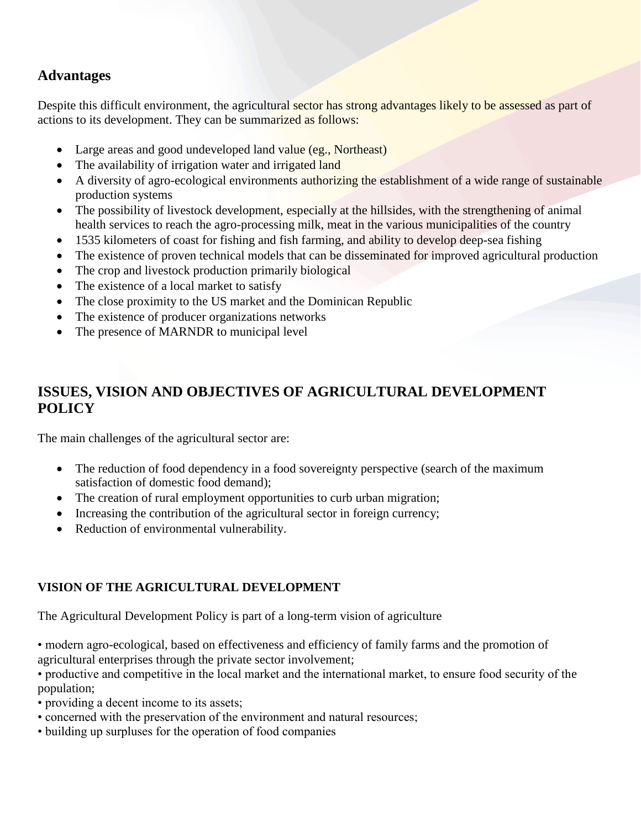# **Advantages**

Despite this difficult environment, the agricultural sector has strong advantages likely to be assessed as part of actions to its development. They can be summarized as follows:

- Large areas and good undeveloped land value (eg., Northeast)
- The availability of irrigation water and irrigated land
- A diversity of agro-ecological environments authorizing the establishment of a wide range of sustainable production systems
- The possibility of livestock development, especially at the hillsides, with the strengthening of animal health services to reach the agro-processing milk, meat in the various municipalities of the country
- 1535 kilometers of coast for fishing and fish farming, and ability to develop deep-sea fishing
- The existence of proven technical models that can be disseminated for improved agricultural production
- The crop and livestock production primarily biological
- The existence of a local market to satisfy
- The close proximity to the US market and the Dominican Republic
- The existence of producer organizations networks
- The presence of MARNDR to municipal level

# **ISSUES, VISION AND OBJECTIVES OF AGRICULTURAL DEVELOPMENT POLICY**

The main challenges of the agricultural sector are:

- The reduction of food dependency in a food sovereignty perspective (search of the maximum satisfaction of domestic food demand);
- The creation of rural employment opportunities to curb urban migration;
- Increasing the contribution of the agricultural sector in foreign currency;
- Reduction of environmental vulnerability.

# **VISION OF THE AGRICULTURAL DEVELOPMENT**

The Agricultural Development Policy is part of a long-term vision of agriculture

• modern agro-ecological, based on effectiveness and efficiency of family farms and the promotion of agricultural enterprises through the private sector involvement;

• productive and competitive in the local market and the international market, to ensure food security of the population;

- providing a decent income to its assets;
- concerned with the preservation of the environment and natural resources;
- building up surpluses for the operation of food companies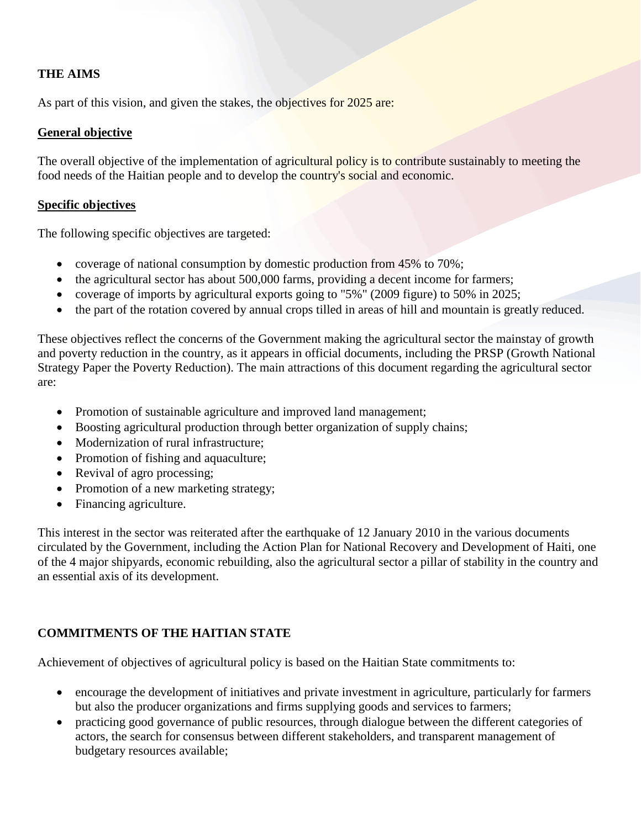### **THE AIMS**

As part of this vision, and given the stakes, the objectives for 2025 are:

### **General objective**

The overall objective of the implementation of agricultural policy is to contribute sustainably to meeting the food needs of the Haitian people and to develop the country's social and economic.

#### **Specific objectives**

The following specific objectives are targeted:

- coverage of national consumption by domestic production from 45% to 70%;
- the agricultural sector has about 500,000 farms, providing a decent income for farmers;
- coverage of imports by agricultural exports going to "5%" (2009 figure) to 50% in 2025;
- the part of the rotation covered by annual crops tilled in areas of hill and mountain is greatly reduced.

These objectives reflect the concerns of the Government making the agricultural sector the mainstay of growth and poverty reduction in the country, as it appears in official documents, including the PRSP (Growth National Strategy Paper the Poverty Reduction). The main attractions of this document regarding the agricultural sector are:

- Promotion of sustainable agriculture and improved land management;
- Boosting agricultural production through better organization of supply chains;
- Modernization of rural infrastructure;
- Promotion of fishing and aquaculture;
- Revival of agro processing;
- Promotion of a new marketing strategy;
- Financing agriculture.

This interest in the sector was reiterated after the earthquake of 12 January 2010 in the various documents circulated by the Government, including the Action Plan for National Recovery and Development of Haiti, one of the 4 major shipyards, economic rebuilding, also the agricultural sector a pillar of stability in the country and an essential axis of its development.

### **COMMITMENTS OF THE HAITIAN STATE**

Achievement of objectives of agricultural policy is based on the Haitian State commitments to:

- encourage the development of initiatives and private investment in agriculture, particularly for farmers but also the producer organizations and firms supplying goods and services to farmers;
- practicing good governance of public resources, through dialogue between the different categories of actors, the search for consensus between different stakeholders, and transparent management of budgetary resources available;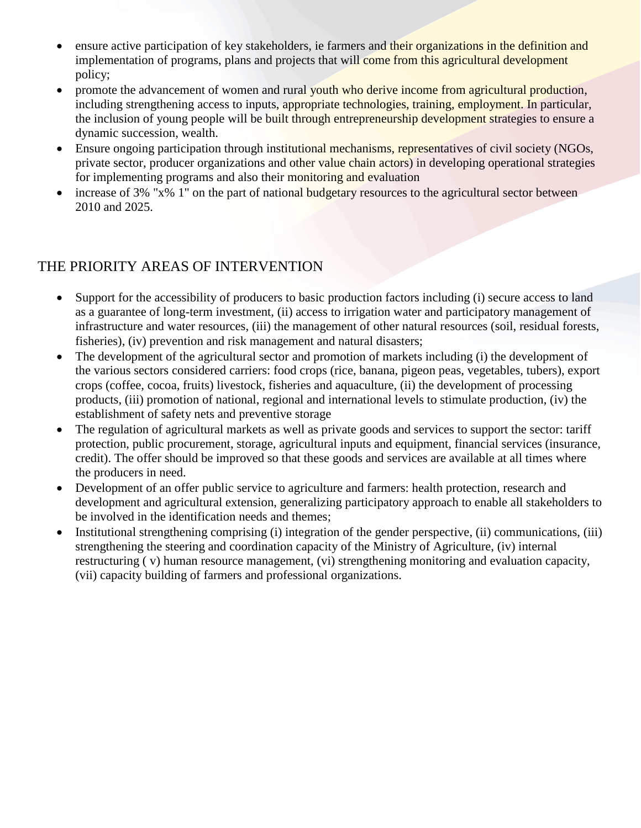- ensure active participation of key stakeholders, ie farmers and their organizations in the definition and implementation of programs, plans and projects that will come from this agricultural development policy;
- promote the advancement of women and rural youth who derive income from agricultural production, including strengthening access to inputs, appropriate technologies, training, employment. In particular, the inclusion of young people will be built through entrepreneurship development strategies to ensure a dynamic succession, wealth.
- Ensure ongoing participation through institutional mechanisms, representatives of civil society (NGOs, private sector, producer organizations and other value chain actors) in developing operational strategies for implementing programs and also their monitoring and evaluation
- increase of 3% "x% 1" on the part of national budgetary resources to the agricultural sector between 2010 and 2025.

# THE PRIORITY AREAS OF INTERVENTION

- Support for the accessibility of producers to basic production factors including (i) secure access to land as a guarantee of long-term investment, (ii) access to irrigation water and participatory management of infrastructure and water resources, (iii) the management of other natural resources (soil, residual forests, fisheries), (iv) prevention and risk management and natural disasters;
- The development of the agricultural sector and promotion of markets including (i) the development of the various sectors considered carriers: food crops (rice, banana, pigeon peas, vegetables, tubers), export crops (coffee, cocoa, fruits) livestock, fisheries and aquaculture, (ii) the development of processing products, (iii) promotion of national, regional and international levels to stimulate production, (iv) the establishment of safety nets and preventive storage
- The regulation of agricultural markets as well as private goods and services to support the sector: tariff protection, public procurement, storage, agricultural inputs and equipment, financial services (insurance, credit). The offer should be improved so that these goods and services are available at all times where the producers in need.
- Development of an offer public service to agriculture and farmers: health protection, research and development and agricultural extension, generalizing participatory approach to enable all stakeholders to be involved in the identification needs and themes;
- Institutional strengthening comprising (i) integration of the gender perspective, (ii) communications, (iii) strengthening the steering and coordination capacity of the Ministry of Agriculture, (iv) internal restructuring ( v) human resource management, (vi) strengthening monitoring and evaluation capacity, (vii) capacity building of farmers and professional organizations.